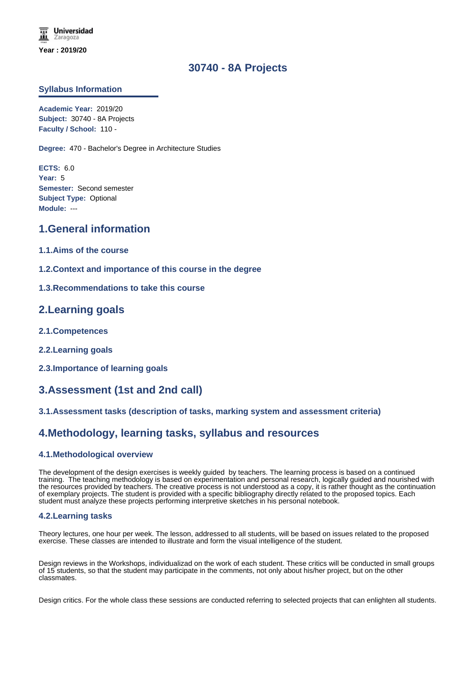# **30740 - 8A Projects**

### **Syllabus Information**

**Academic Year:** 2019/20 **Subject:** 30740 - 8A Projects **Faculty / School:** 110 -

**Degree:** 470 - Bachelor's Degree in Architecture Studies

**ECTS:** 6.0 **Year:** 5 **Semester:** Second semester **Subject Type:** Optional **Module:** ---

## **1.General information**

- **1.1.Aims of the course**
- **1.2.Context and importance of this course in the degree**
- **1.3.Recommendations to take this course**

## **2.Learning goals**

- **2.1.Competences**
- **2.2.Learning goals**
- **2.3.Importance of learning goals**

# **3.Assessment (1st and 2nd call)**

#### **3.1.Assessment tasks (description of tasks, marking system and assessment criteria)**

## **4.Methodology, learning tasks, syllabus and resources**

#### **4.1.Methodological overview**

The development of the design exercises is weekly guided by teachers. The learning process is based on a continued training. The teaching methodology is based on experimentation and personal research, logically guided and nourished with the resources provided by teachers. The creative process is not understood as a copy, it is rather thought as the continuation of exemplary projects. The student is provided with a specific bibliography directly related to the proposed topics. Each student must analyze these projects performing interpretive sketches in his personal notebook.

#### **4.2.Learning tasks**

Theory lectures, one hour per week. The lesson, addressed to all students, will be based on issues related to the proposed exercise. These classes are intended to illustrate and form the visual intelligence of the student.

Design reviews in the Workshops, individualizad on the work of each student. These critics will be conducted in small groups of 15 students, so that the student may participate in the comments, not only about his/her project, but on the other classmates.

Design critics. For the whole class these sessions are conducted referring to selected projects that can enlighten all students.